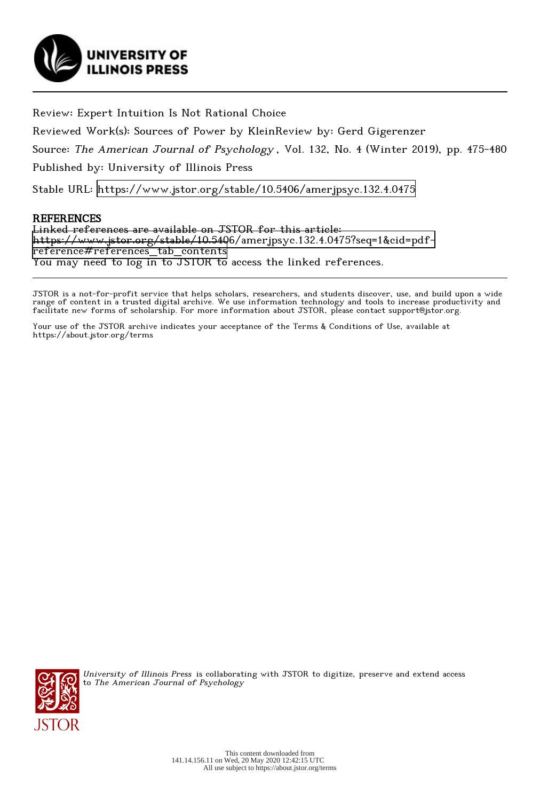

Review: Expert Intuition Is Not Rational Choice

Reviewed Work(s): Sources of Power by KleinReview by: Gerd Gigerenzer

Source: The American Journal of Psychology , Vol. 132, No. 4 (Winter 2019), pp. 475-480

Published by: University of Illinois Press

Stable URL:<https://www.jstor.org/stable/10.5406/amerjpsyc.132.4.0475>

## REFERENCES

Linked references are available on JSTOR for this article: [https://www.jstor.org/stable/10.5406/amerjpsyc.132.4.0475?seq=1&cid=pdf](https://www.jstor.org/stable/10.5406/amerjpsyc.132.4.0475?seq=1&cid=pdf-reference#references_tab_contents)[reference#references\\_tab\\_contents](https://www.jstor.org/stable/10.5406/amerjpsyc.132.4.0475?seq=1&cid=pdf-reference#references_tab_contents) You may need to log in to JSTOR to access the linked references.

JSTOR is a not-for-profit service that helps scholars, researchers, and students discover, use, and build upon a wide range of content in a trusted digital archive. We use information technology and tools to increase productivity and facilitate new forms of scholarship. For more information about JSTOR, please contact support@jstor.org.

Your use of the JSTOR archive indicates your acceptance of the Terms & Conditions of Use, available at https://about.jstor.org/terms



University of Illinois Press is collaborating with JSTOR to digitize, preserve and extend access to The American Journal of Psychology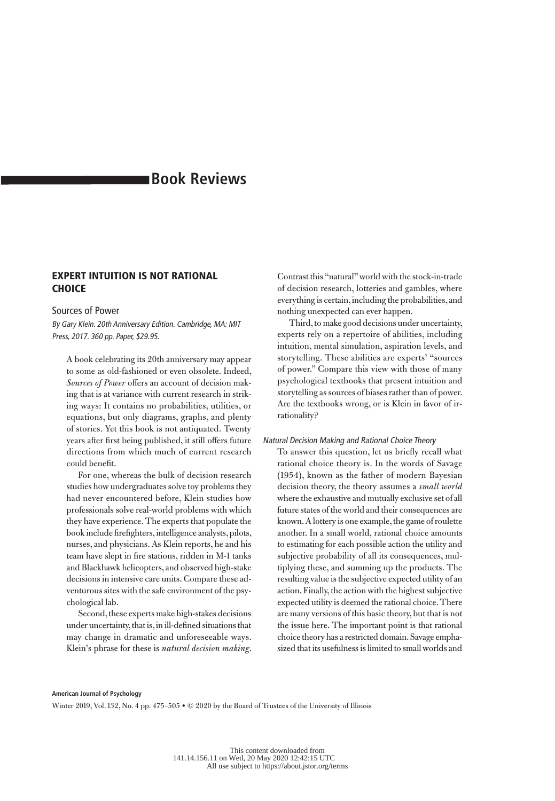# **Book Reviews**

## EXPERT INTUITION IS NOT RATIONAL **CHOICE**

## Sources of Power

By Gary Klein. 20th Anniversary Edition. Cambridge, MA: MIT Press, 2017. 360 pp. Paper, \$29.95.

A book celebrating its 20th anniversary may appear to some as old-fashioned or even obsolete. Indeed, *Sources of Power* offers an account of decision making that is at variance with current research in striking ways: It contains no probabilities, utilities, or equations, but only diagrams, graphs, and plenty of stories. Yet this book is not antiquated. Twenty years after first being published, it still offers future directions from which much of current research could benefit.

For one, whereas the bulk of decision research studies how undergraduates solve toy problems they had never encountered before, Klein studies how professionals solve real-world problems with which they have experience. The experts that populate the book include firefighters, intelligence analysts, pilots, nurses, and physicians. As Klein reports, he and his team have slept in fire stations, ridden in M-1 tanks and Blackhawk helicopters, and observed high-stake decisions in intensive care units. Compare these adventurous sites with the safe environment of the psychological lab.

Second, these experts make high-stakes decisions under uncertainty, that is, in ill-defined situations that may change in dramatic and unforeseeable ways. Klein's phrase for these is *natural decision making*. Contrast this "natural" world with the stock-in-trade of decision research, lotteries and gambles, where everything is certain, including the probabilities, and nothing unexpected can ever happen.

Third, to make good decisions under uncertainty, experts rely on a repertoire of abilities, including intuition, mental simulation, aspiration levels, and storytelling. These abilities are experts' "sources of power." Compare this view with those of many psychological textbooks that present intuition and storytelling as sources of biases rather than of power. Are the textbooks wrong, or is Klein in favor of irrationality?

#### Natural Decision Making and Rational Choice Theory

To answer this question, let us briefly recall what rational choice theory is. In the words of Savage (1954), known as the father of modern Bayesian decision theory, the theory assumes a *small world* where the exhaustive and mutually exclusive set of all future states of the world and their consequences are known. A lottery is one example, the game of roulette another. In a small world, rational choice amounts to estimating for each possible action the utility and subjective probability of all its consequences, multiplying these, and summing up the products. The resulting value is the subjective expected utility of an action. Finally, the action with the highest subjective expected utility is deemed the rational choice. There are many versions of this basic theory, but that is not the issue here. The important point is that rational choice theory has a restricted domain. Savage emphasized that its usefulness is limited to small worlds and

#### **American Journal of Psychology**

Winter 2019, Vol. 132, No. 4 pp. 475–505 • © 2020 by the Board of Trustees of the University of Illinois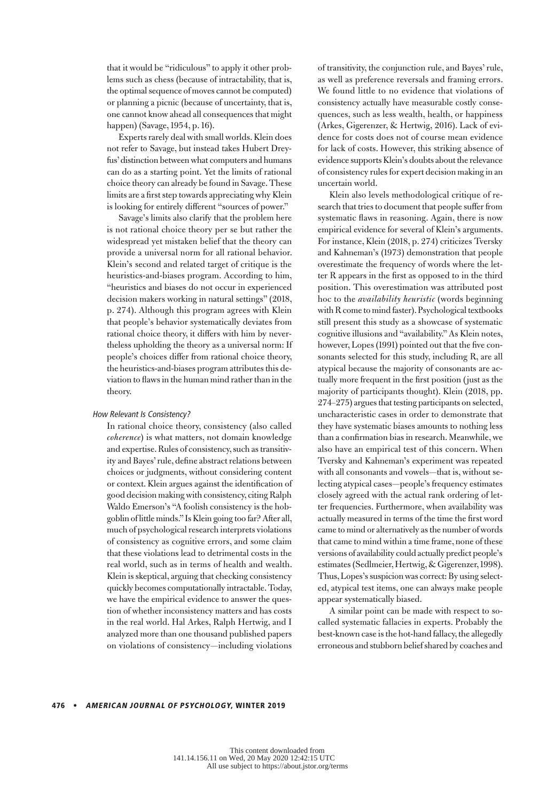that it would be "ridiculous" to apply it other problems such as chess (because of intractability, that is, the optimal sequence of moves cannot be computed) or planning a picnic (because of uncertainty, that is, one cannot know ahead all consequences that might happen) (Savage, 1954, p. 16).

Experts rarely deal with small worlds. Klein does not refer to Savage, but instead takes Hubert Dreyfus' distinction between what computers and humans can do as a starting point. Yet the limits of rational choice theory can already be found in Savage. These limits are a first step towards appreciating why Klein is looking for entirely different "sources of power."

Savage's limits also clarify that the problem here is not rational choice theory per se but rather the widespread yet mistaken belief that the theory can provide a universal norm for all rational behavior. Klein's second and related target of critique is the heuristics-and-biases program. According to him, "heuristics and biases do not occur in experienced decision makers working in natural settings" (2018, p. 274). Although this program agrees with Klein that people's behavior systematically deviates from rational choice theory, it differs with him by nevertheless upholding the theory as a universal norm: If people's choices differ from rational choice theory, the heuristics-and-biases program attributes this deviation to flaws in the human mind rather than in the theory.

#### How Relevant Is Consistency?

In rational choice theory, consistency (also called *coherence*) is what matters, not domain knowledge and expertise. Rules of consistency, such as transitivity and Bayes' rule, define abstract relations between choices or judgments, without considering content or context. Klein argues against the identification of good decision making with consistency, citing Ralph Waldo Emerson's "A foolish consistency is the hobgoblin of little minds." Is Klein going too far? After all, much of psychological research interprets violations of consistency as cognitive errors, and some claim that these violations lead to detrimental costs in the real world, such as in terms of health and wealth. Klein is skeptical, arguing that checking consistency quickly becomes computationally intractable. Today, we have the empirical evidence to answer the question of whether inconsistency matters and has costs in the real world. Hal Arkes, Ralph Hertwig, and I analyzed more than one thousand published papers on violations of consistency—including violations

of transitivity, the conjunction rule, and Bayes' rule, as well as preference reversals and framing errors. We found little to no evidence that violations of consistency actually have measurable costly consequences, such as less wealth, health, or happiness (Arkes, Gigerenzer, & Hertwig, 2016). Lack of evidence for costs does not of course mean evidence for lack of costs. However, this striking absence of evidence supports Klein's doubts about the relevance of consistency rules for expert decision making in an uncertain world.

Klein also levels methodological critique of research that tries to document that people suffer from systematic flaws in reasoning. Again, there is now empirical evidence for several of Klein's arguments. For instance, Klein (2018, p. 274) criticizes Tversky and Kahneman's (1973) demonstration that people overestimate the frequency of words where the letter R appears in the first as opposed to in the third position. This overestimation was attributed post hoc to the *availability heuristic* (words beginning with R come to mind faster). Psychological textbooks still present this study as a showcase of systematic cognitive illusions and "availability." As Klein notes, however, Lopes (1991) pointed out that the five consonants selected for this study, including R, are all atypical because the majority of consonants are actually more frequent in the first position (just as the majority of participants thought). Klein (2018, pp. 274–275) argues that testing participants on selected, uncharacteristic cases in order to demonstrate that they have systematic biases amounts to nothing less than a confirmation bias in research. Meanwhile, we also have an empirical test of this concern. When Tversky and Kahneman's experiment was repeated with all consonants and vowels—that is, without selecting atypical cases—people's frequency estimates closely agreed with the actual rank ordering of letter frequencies. Furthermore, when availability was actually measured in terms of the time the first word came to mind or alternatively as the number of words that came to mind within a time frame, none of these versions of availability could actually predict people's estimates (Sedlmeier, Hertwig, & Gigerenzer, 1998). Thus, Lopes's suspicion was correct: By using selected, atypical test items, one can always make people appear systematically biased.

A similar point can be made with respect to socalled systematic fallacies in experts. Probably the best-known case is the hot-hand fallacy, the allegedly erroneous and stubborn belief shared by coaches and

#### 476 • AMERICAN JOURNAL OF PSYCHOLOGY, WINTER 2019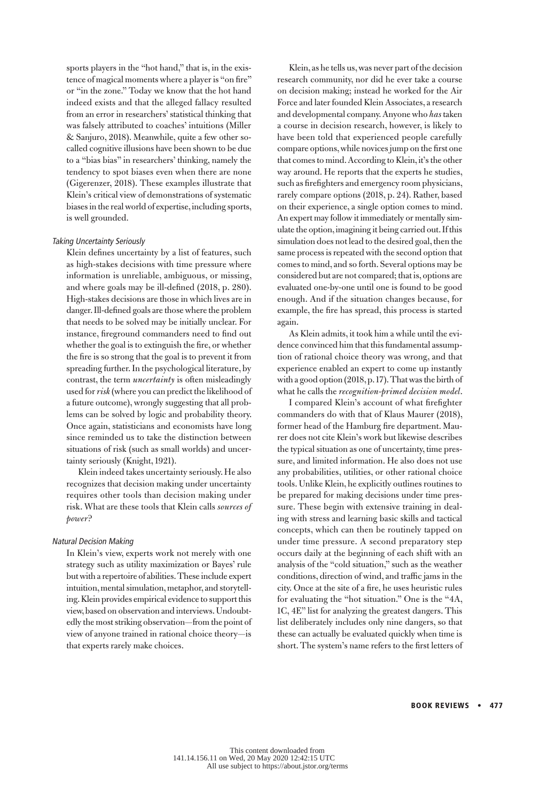sports players in the "hot hand," that is, in the existence of magical moments where a player is "on fire" or "in the zone." Today we know that the hot hand indeed exists and that the alleged fallacy resulted from an error in researchers' statistical thinking that was falsely attributed to coaches' intuitions (Miller & Sanjuro, 2018). Meanwhile, quite a few other socalled cognitive illusions have been shown to be due to a "bias bias" in researchers' thinking, namely the tendency to spot biases even when there are none (Gigerenzer, 2018). These examples illustrate that Klein's critical view of demonstrations of systematic biases in the real world of expertise, including sports, is well grounded.

#### Taking Uncertainty Seriously

Klein defines uncertainty by a list of features, such as high-stakes decisions with time pressure where information is unreliable, ambiguous, or missing, and where goals may be ill-defined (2018, p. 280). High-stakes decisions are those in which lives are in danger. Ill-defined goals are those where the problem that needs to be solved may be initially unclear. For instance, fireground commanders need to find out whether the goal is to extinguish the fire, or whether the fire is so strong that the goal is to prevent it from spreading further. In the psychological literature, by contrast, the term *uncertainty* is often misleadingly used for *risk* (where you can predict the likelihood of a future outcome), wrongly suggesting that all problems can be solved by logic and probability theory. Once again, statisticians and economists have long since reminded us to take the distinction between situations of risk (such as small worlds) and uncertainty seriously (Knight, 1921).

Klein indeed takes uncertainty seriously. He also recognizes that decision making under uncertainty requires other tools than decision making under risk. What are these tools that Klein calls *sources of power*?

#### Natural Decision Making

In Klein's view, experts work not merely with one strategy such as utility maximization or Bayes' rule but with a repertoire of abilities. These include expert intuition, mental simulation, metaphor, and storytelling. Klein provides empirical evidence to support this view, based on observation and interviews. Undoubtedly the most striking observation—from the point of view of anyone trained in rational choice theory—is that experts rarely make choices.

Klein, as he tells us, was never part of the decision research community, nor did he ever take a course on decision making; instead he worked for the Air Force and later founded Klein Associates, a research and developmental company. Anyone who *has* taken a course in decision research, however, is likely to have been told that experienced people carefully compare options, while novices jump on the first one that comes to mind. According to Klein, it's the other way around. He reports that the experts he studies, such as firefighters and emergency room physicians, rarely compare options (2018, p. 24). Rather, based on their experience, a single option comes to mind. An expert may follow it immediately or mentally simulate the option, imagining it being carried out. If this simulation does not lead to the desired goal, then the same process is repeated with the second option that comes to mind, and so forth. Several options may be considered but are not compared; that is, options are evaluated one-by-one until one is found to be good enough. And if the situation changes because, for example, the fire has spread, this process is started again.

As Klein admits, it took him a while until the evidence convinced him that this fundamental assumption of rational choice theory was wrong, and that experience enabled an expert to come up instantly with a good option (2018, p. 17). That was the birth of what he calls the *recognition-primed decision model*.

I compared Klein's account of what firefighter commanders do with that of Klaus Maurer (2018), former head of the Hamburg fire department. Maurer does not cite Klein's work but likewise describes the typical situation as one of uncertainty, time pressure, and limited information. He also does not use any probabilities, utilities, or other rational choice tools. Unlike Klein, he explicitly outlines routines to be prepared for making decisions under time pressure. These begin with extensive training in dealing with stress and learning basic skills and tactical concepts, which can then be routinely tapped on under time pressure. A second preparatory step occurs daily at the beginning of each shift with an analysis of the "cold situation," such as the weather conditions, direction of wind, and traffic jams in the city. Once at the site of a fire, he uses heuristic rules for evaluating the "hot situation." One is the "4A, 1C, 4E" list for analyzing the greatest dangers. This list deliberately includes only nine dangers, so that these can actually be evaluated quickly when time is short. The system's name refers to the first letters of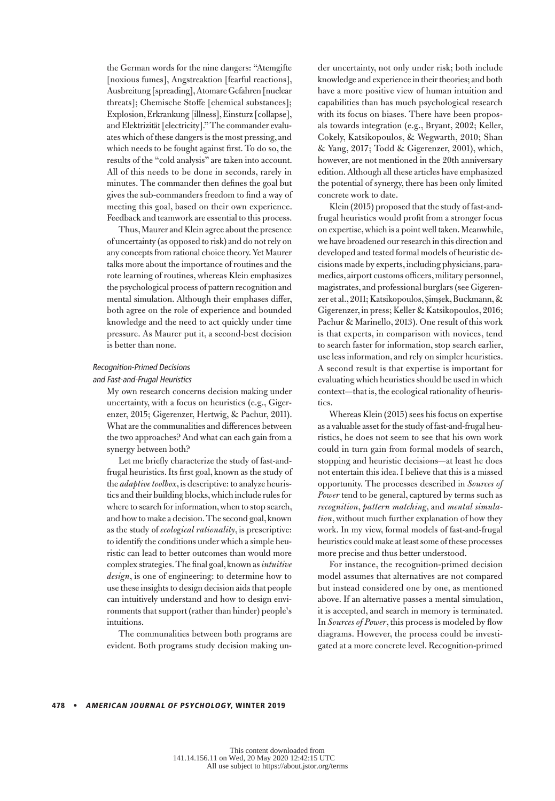the German words for the nine dangers: "Atemgifte [noxious fumes], Angstreaktion [fearful reactions], Ausbreitung [spreading], Atomare Gefahren [nuclear threats]; Chemische Stoffe [chemical substances]; Explosion, Erkrankung [illness], Einsturz [collapse], and Elektrizität [electricity]." The commander evaluates which of these dangers is the most pressing, and which needs to be fought against first. To do so, the results of the "cold analysis" are taken into account. All of this needs to be done in seconds, rarely in minutes. The commander then defines the goal but gives the sub-commanders freedom to find a way of meeting this goal, based on their own experience. Feedback and teamwork are essential to this process.

Thus, Maurer and Klein agree about the presence of uncertainty (as opposed to risk) and do not rely on any concepts from rational choice theory. Yet Maurer talks more about the importance of routines and the rote learning of routines, whereas Klein emphasizes the psychological process of pattern recognition and mental simulation. Although their emphases differ, both agree on the role of experience and bounded knowledge and the need to act quickly under time pressure. As Maurer put it, a second-best decision is better than none.

#### Recognition-Primed Decisions

#### and Fast-and-Frugal Heuristics

My own research concerns decision making under uncertainty, with a focus on heuristics (e.g., Gigerenzer, 2015; Gigerenzer, Hertwig, & Pachur, 2011). What are the communalities and differences between the two approaches? And what can each gain from a synergy between both?

Let me briefly characterize the study of fast-andfrugal heuristics. Its first goal, known as the study of the *adaptive toolbox*, is descriptive: to analyze heuristics and their building blocks, which include rules for where to search for information, when to stop search, and how to make a decision. The second goal, known as the study of *ecological rationality*, is prescriptive: to identify the conditions under which a simple heuristic can lead to better outcomes than would more complex strategies. The final goal, known as *intuitive design*, is one of engineering: to determine how to use these insights to design decision aids that people can intuitively understand and how to design environments that support (rather than hinder) people's intuitions.

The communalities between both programs are evident. Both programs study decision making under uncertainty, not only under risk; both include knowledge and experience in their theories; and both have a more positive view of human intuition and capabilities than has much psychological research with its focus on biases. There have been proposals towards integration (e.g., Bryant, 2002; Keller, Cokely, Katsikopoulos, & Wegwarth, 2010; Shan & Yang, 2017; Todd & Gigerenzer, 2001), which, however, are not mentioned in the 20th anniversary edition. Although all these articles have emphasized the potential of synergy, there has been only limited concrete work to date.

Klein (2015) proposed that the study of fast-andfrugal heuristics would profit from a stronger focus on expertise, which is a point well taken. Meanwhile, we have broadened our research in this direction and developed and tested formal models of heuristic decisions made by experts, including physicians, paramedics, airport customs officers, military personnel, magistrates, and professional burglars (see Gigerenzer et al., 2011; Katsikopoulos, Şimşek, Buckmann, & Gigerenzer, in press; Keller & Katsikopoulos, 2016; Pachur & Marinello, 2013). One result of this work is that experts, in comparison with novices, tend to search faster for information, stop search earlier, use less information, and rely on simpler heuristics. A second result is that expertise is important for evaluating which heuristics should be used in which context—that is, the ecological rationality of heuristics.

Whereas Klein (2015) sees his focus on expertise as a valuable asset for the study of fast-and-frugal heuristics, he does not seem to see that his own work could in turn gain from formal models of search, stopping and heuristic decisions—at least he does not entertain this idea. I believe that this is a missed opportunity. The processes described in *Sources of Power* tend to be general, captured by terms such as *recognition*, *pattern matching*, and *mental simulation*, without much further explanation of how they work. In my view, formal models of fast-and-frugal heuristics could make at least some of these processes more precise and thus better understood.

For instance, the recognition-primed decision model assumes that alternatives are not compared but instead considered one by one, as mentioned above. If an alternative passes a mental simulation, it is accepted, and search in memory is terminated. In *Sources of Power*, this process is modeled by flow diagrams. However, the process could be investigated at a more concrete level. Recognition-primed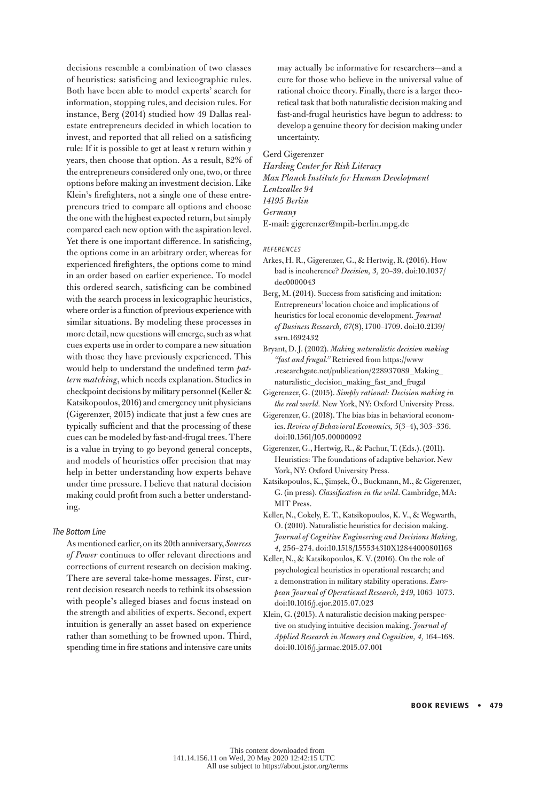decisions resemble a combination of two classes of heuristics: satisficing and lexicographic rules. Both have been able to model experts' search for information, stopping rules, and decision rules. For instance, Berg (2014) studied how 49 Dallas realestate entrepreneurs decided in which location to invest, and reported that all relied on a satisficing rule: If it is possible to get at least *x* return within *y* years, then choose that option. As a result, 82% of the entrepreneurs considered only one, two, or three options before making an investment decision. Like Klein's firefighters, not a single one of these entrepreneurs tried to compare all options and choose the one with the highest expected return, but simply compared each new option with the aspiration level. Yet there is one important difference. In satisficing, the options come in an arbitrary order, whereas for experienced firefighters, the options come to mind in an order based on earlier experience. To model this ordered search, satisficing can be combined with the search process in lexicographic heuristics, where order is a function of previous experience with similar situations. By modeling these processes in more detail, new questions will emerge, such as what cues experts use in order to compare a new situation with those they have previously experienced. This would help to understand the undefined term *pattern matching*, which needs explanation. Studies in checkpoint decisions by military personnel (Keller & Katsikopoulos, 2016) and emergency unit physicians (Gigerenzer, 2015) indicate that just a few cues are typically sufficient and that the processing of these cues can be modeled by fast-and-frugal trees. There is a value in trying to go beyond general concepts, and models of heuristics offer precision that may help in better understanding how experts behave under time pressure. I believe that natural decision making could profit from such a better understanding.

#### The Bottom Line

As mentioned earlier, on its 20th anniversary, *Sources of Power* continues to offer relevant directions and corrections of current research on decision making. There are several take-home messages. First, current decision research needs to rethink its obsession with people's alleged biases and focus instead on the strength and abilities of experts. Second, expert intuition is generally an asset based on experience rather than something to be frowned upon. Third, spending time in fire stations and intensive care units

may actually be informative for researchers—and a cure for those who believe in the universal value of rational choice theory. Finally, there is a larger theoretical task that both naturalistic decision making and fast-and-frugal heuristics have begun to address: to develop a genuine theory for decision making under uncertainty.

Gerd Gigerenzer

*Harding Center for Risk Literacy Max Planck Institute for Human Development Lentzeallee 94 14195 Berlin Germany* E-mail: gigerenzer@mpib-berlin.mpg.de

REFERENCES

- Arkes, H. R., Gigerenzer, G., & Hertwig, R. (2016). How bad is incoherence? *Decision, 3,* 20–39. doi:10.1037/ dec0000043
- Berg, M. (2014). Success from satisficing and imitation: Entrepreneurs' location choice and implications of heuristics for local economic development. *Journal of Business Research, 67*(8), 1700–1709. doi:10.2139/ ssrn.1692432
- Bryant, D. J. (2002). *Making naturalistic decision making "fast and frugal."* Retrieved from https://www .researchgate.net/publication/228937089\_Making\_ naturalistic\_decision\_making\_fast\_and\_frugal
- Gigerenzer, G. (2015). *Simply rational: Decision making in the real world.* New York, NY: Oxford University Press.

Gigerenzer, G. (2018). The bias bias in behavioral economics. *Review of Behavioral Economics, 5*(3–4), 303–336. doi:10.1561/105.00000092

Gigerenzer, G., Hertwig, R., & Pachur, T. (Eds.). (2011). Heuristics: The foundations of adaptive behavior. New York, NY: Oxford University Press.

Katsikopoulos, K., Şimşek, Ö., Buckmann, M., & Gigerenzer, G. (in press). *Classification in the wild*. Cambridge, MA: MIT Press.

- Keller, N., Cokely, E. T., Katsikopoulos, K. V., & Wegwarth, O. (2010). Naturalistic heuristics for decision making. *Journal of Cognitive Engineering and Decisions Making, 4,* 256–274. doi:10.1518/155534310X12844000801168
- Keller, N., & Katsikopoulos, K. V. (2016). On the role of psychological heuristics in operational research; and a demonstration in military stability operations. *European Journal of Operational Research, 249,* 1063–1073. doi:10.1016/j.ejor.2015.07.023
- Klein, G. (2015). A naturalistic decision making perspective on studying intuitive decision making. *Journal of Applied Research in Memory and Cognition, 4,* 164–168. doi:10.1016/j.jarmac.2015.07.001

Book Reviews • 479